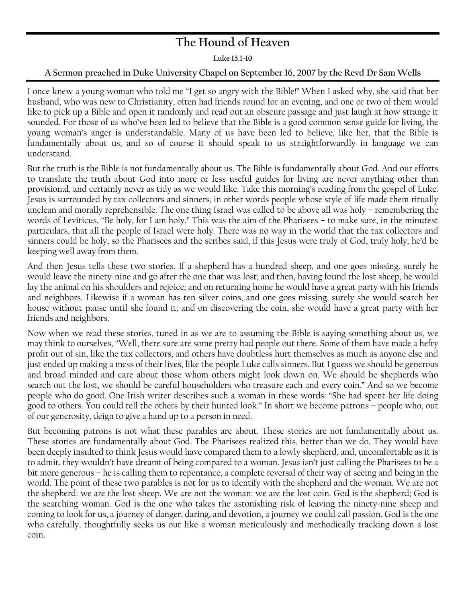## **The Hound of Heaven**

**Luke 15.1-10** 

## **A Sermon preached in Duke University Chapel on September 16, 2007 by the Revd Dr Sam Wells**

I once knew a young woman who told me "I get so angry with the Bible!" When I asked why, she said that her husband, who was new to Christianity, often had friends round for an evening, and one or two of them would like to pick up a Bible and open it randomly and read out an obscure passage and just laugh at how strange it sounded. For those of us who've been led to believe that the Bible is a good common sense guide for living, the young woman's anger is understandable. Many of us have been led to believe, like her, that the Bible is fundamentally about us, and so of course it should speak to us straightforwardly in language we can understand.

But the truth is the Bible is not fundamentally about us. The Bible is fundamentally about God. And our efforts to translate the truth about God into more or less useful guides for living are never anything other than provisional, and certainly never as tidy as we would like. Take this morning's reading from the gospel of Luke. Jesus is surrounded by tax collectors and sinners, in other words people whose style of life made them ritually unclean and morally reprehensible. The one thing Israel was called to be above all was holy – remembering the words of Leviticus, "Be holy, for I am holy." This was the aim of the Pharisees – to make sure, in the minutest particulars, that all the people of Israel were holy. There was no way in the world that the tax collectors and sinners could be holy, so the Pharisees and the scribes said, if this Jesus were truly of God, truly holy, he'd be keeping well away from them.

And then Jesus tells these two stories. If a shepherd has a hundred sheep, and one goes missing, surely he would leave the ninety-nine and go after the one that was lost; and then, having found the lost sheep, he would lay the animal on his shoulders and rejoice; and on returning home he would have a great party with his friends and neighbors. Likewise if a woman has ten silver coins, and one goes missing, surely she would search her house without pause until she found it; and on discovering the coin, she would have a great party with her friends and neighbors.

Now when we read these stories, tuned in as we are to assuming the Bible is saying something about us, we may think to ourselves, "Well, there sure are some pretty bad people out there. Some of them have made a hefty profit out of sin, like the tax collectors, and others have doubtless hurt themselves as much as anyone else and just ended up making a mess of their lives, like the people Luke calls sinners. But I guess we should be generous and broad minded and care about those whom others might look down on. We should be shepherds who search out the lost, we should be careful householders who treasure each and every coin." And so we become people who do good. One Irish writer describes such a woman in these words: "She had spent her life doing good to others. You could tell the others by their hunted look." In short we become patrons – people who, out of our generosity, deign to give a hand up to a person in need.

But becoming patrons is not what these parables are about. These stories are not fundamentally about us. These stories are fundamentally about God. The Pharisees realized this, better than we do. They would have been deeply insulted to think Jesus would have compared them to a lowly shepherd, and, uncomfortable as it is to admit, they wouldn't have dreamt of being compared to a woman. Jesus isn't just calling the Pharisees to be a bit more generous – he is calling them to repentance, a complete reversal of their way of seeing and being in the world. The point of these two parables is not for us to identify with the shepherd and the woman. We are not the shepherd: we are the lost sheep. We are not the woman: we are the lost coin. God is the shepherd; God is the searching woman. God is the one who takes the astonishing risk of leaving the ninety-nine sheep and coming to look for us, a journey of danger, daring, and devotion, a journey we could call passion. God is the one who carefully, thoughtfully seeks us out like a woman meticulously and methodically tracking down a lost coin.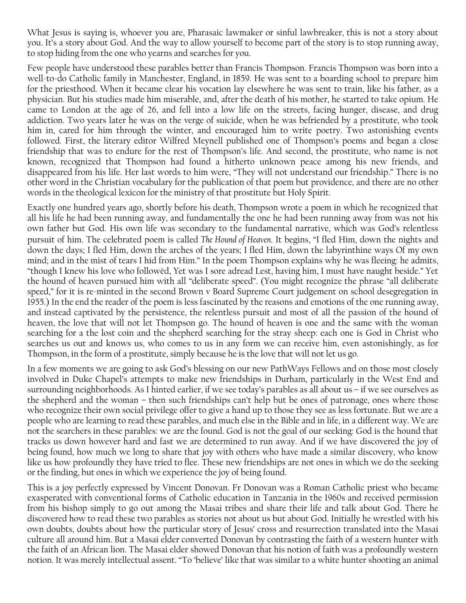What Jesus is saying is, whoever you are, Pharasaic lawmaker or sinful lawbreaker, this is not a story about you. It's a story about God. And the way to allow yourself to become part of the story is to stop running away, to stop hiding from the one who yearns and searches for you.

Few people have understood these parables better than Francis Thompson. Francis Thompson was born into a well-to-do Catholic family in Manchester, England, in 1859. He was sent to a boarding school to prepare him for the priesthood. When it became clear his vocation lay elsewhere he was sent to train, like his father, as a physician. But his studies made him miserable, and, after the death of his mother, he started to take opium. He came to London at the age of 26, and fell into a low life on the streets, facing hunger, disease, and drug addiction. Two years later he was on the verge of suicide, when he was befriended by a prostitute, who took him in, cared for him through the winter, and encouraged him to write poetry. Two astonishing events followed. First, the literary editor Wilfred Meynell published one of Thompson's poems and began a close friendship that was to endure for the rest of Thompson's life. And second, the prostitute, who name is not known, recognized that Thompson had found a hitherto unknown peace among his new friends, and disappeared from his life. Her last words to him were, "They will not understand our friendship." There is no other word in the Christian vocabulary for the publication of that poem but providence, and there are no other words in the theological lexicon for the ministry of that prostitute but Holy Spirit.

Exactly one hundred years ago, shortly before his death, Thompson wrote a poem in which he recognized that all his life he had been running away, and fundamentally the one he had been running away from was not his own father but God. His own life was secondary to the fundamental narrative, which was God's relentless pursuit of him. The celebrated poem is called *The Hound of Heaven*. It begins, "I fled Him, down the nights and down the days; I fled Him, down the arches of the years; I fled Him, down the labyrinthine ways Of my own mind; and in the mist of tears I hid from Him." In the poem Thompson explains why he was fleeing: he admits, "though I knew his love who followèd, Yet was I sore adread Lest, having him, I must have naught beside." Yet the hound of heaven pursued him with all "deliberate speed". (You might recognize the phrase "all deliberate speed," for it is re-minted in the second Brown v Board Supreme Court judgement on school desegregation in 1955.) In the end the reader of the poem is less fascinated by the reasons and emotions of the one running away, and instead captivated by the persistence, the relentless pursuit and most of all the passion of the hound of heaven, the love that will not let Thompson go. The hound of heaven is one and the same with the woman searching for a the lost coin and the shepherd searching for the stray sheep: each one is God in Christ who searches us out and knows us, who comes to us in any form we can receive him, even astonishingly, as for Thompson, in the form of a prostitute, simply because he is the love that will not let us go.

In a few moments we are going to ask God's blessing on our new PathWays Fellows and on those most closely involved in Duke Chapel's attempts to make new friendships in Durham, particularly in the West End and surrounding neighborhoods. As I hinted earlier, if we see today's parables as all about us – if we see ourselves as the shepherd and the woman – then such friendships can't help but be ones of patronage, ones where those who recognize their own social privilege offer to give a hand up to those they see as less fortunate. But we are a people who are learning to read these parables, and much else in the Bible and in life, in a different way. We are not the searchers in these parables: we are the found. God is not the goal of our seeking: God is the hound that tracks us down however hard and fast we are determined to run away. And if we have discovered the joy of being found, how much we long to share that joy with others who have made a similar discovery, who know like us how profoundly they have tried to flee. These new friendships are not ones in which we do the seeking or the finding, but ones in which we experience the joy of being found.

This is a joy perfectly expressed by Vincent Donovan. Fr Donovan was a Roman Catholic priest who became exasperated with conventional forms of Catholic education in Tanzania in the 1960s and received permission from his bishop simply to go out among the Masai tribes and share their life and talk about God. There he discovered how to read these two parables as stories not about us but about God. Initially he wrestled with his own doubts, doubts about how the particular story of Jesus' cross and resurrection translated into the Masai culture all around him. But a Masai elder converted Donovan by contrasting the faith of a western hunter with the faith of an African lion. The Masai elder showed Donovan that his notion of faith was a profoundly western notion. It was merely intellectual assent. "To 'believe' like that was similar to a white hunter shooting an animal